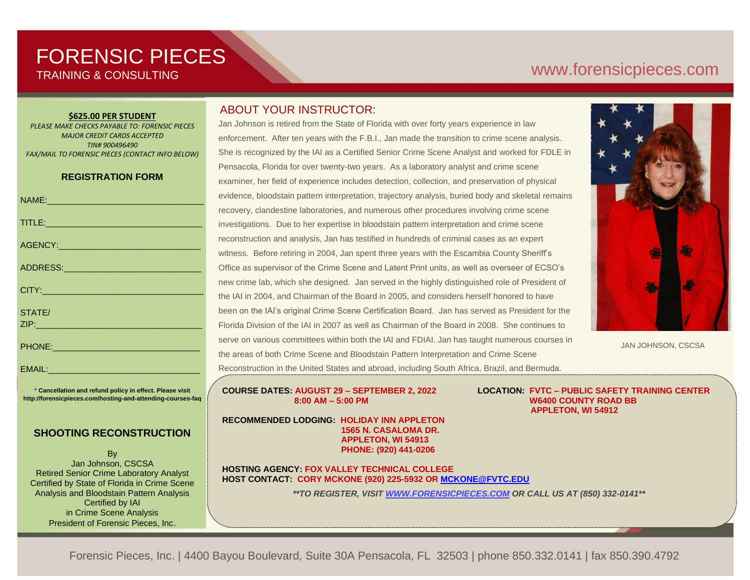# FORENSIC PIECES TRAINING & CONSULTING

# [www.forensicp](http://www.forensic/)ieces.com

#### **\$625.00 PER STUDENT**

*PLEASE MAKE CHECKS PAYABLE TO: FORENSIC PIECES MAJOR CREDIT CARDS ACCEPTED TIN# 900496490 FAX/MAIL TO FORENSIC PIECES (CONTACT INFO BELOW)*

### **REGISTRATION FORM**

| NAME: 2008 - 2008 - 2008 - 2010 - 2010 - 2010 - 2011 - 2012 - 2012 - 2012 - 2012 - 2012 - 2012 - 201          |
|---------------------------------------------------------------------------------------------------------------|
|                                                                                                               |
|                                                                                                               |
|                                                                                                               |
|                                                                                                               |
| STATE/                                                                                                        |
| PHONE: 2008 2010 2010 2010 2010 2011 2022 2023 2024 2022 2023 2024 2022 2023 2024 2022 2023 2024 2025 2026 20 |
| EMAIL:                                                                                                        |

\* **Cancellation and refund policy in effect. Please visit http://forensicpieces.com/hosting-and-attending-courses-faq**

## **SHOOTING RECONSTRUCTION**

By Jan Johnson, CSCSA Retired Senior Crime Laboratory Analyst Certified by State of Florida in Crime Scene Analysis and Bloodstain Pattern Analysis Certified by IAI in Crime Scene Analysis President of Forensic Pieces, Inc.

## ABOUT YOUR INSTRUCTOR:

Jan Johnson is retired from the State of Florida with over forty years experience in law enforcement. After ten years with the F.B.I., Jan made the transition to crime scene analysis. She is recognized by the IAI as a Certified Senior Crime Scene Analyst and worked for FDLE in Pensacola, Florida for over twenty-two years. As a laboratory analyst and crime scene examiner, her field of experience includes detection, collection, and preservation of physical evidence, bloodstain pattern interpretation, trajectory analysis, buried body and skeletal remains recovery, clandestine laboratories, and numerous other procedures involving crime scene investigations. Due to her expertise in bloodstain pattern interpretation and crime scene reconstruction and analysis, Jan has testified in hundreds of criminal cases as an expert witness. Before retiring in 2004, Jan spent three years with the Escambia County Sheriff's Office as supervisor of the Crime Scene and Latent Print units, as well as overseer of ECSO's new crime lab, which she designed. Jan served in the highly distinguished role of President of the IAI in 2004, and Chairman of the Board in 2005, and considers herself honored to have been on the IAI's original Crime Scene Certification Board. Jan has served as President for the Florida Division of the IAI in 2007 as well as Chairman of the Board in 2008. She continues to serve on various committees within both the IAI and FDIAI. Jan has taught numerous courses in the areas of both Crime Scene and Bloodstain Pattern Interpretation and Crime Scene Reconstruction in the United States and abroad, including South Africa, Brazil, and Bermuda.

 $8:00 \text{ AM} - 5:00 \text{ PM}$ 

**RECOMMENDED LODGING: HOLIDAY INN APPLETON AND WORKED FOR THE SENIOR CRIME SCENE AND WORKED FOR THE SCHOOL SERIOR** FDLE in Pensacola for over twenty-two years. As a laboratory analyst and crime scene  **1565 N. CASALOMA DR.** examiner, her field of experience includes detection, collection, and preservation of physical  **PHONE: (920) 441-0206 APPLETON, WI 54913**

recovery, clandestine laboratories, and other numerous procedures involving crime scene **HOST CONTACT: CORY MCKONE (920) 225-5932 OR MCKONE@FVTC.EDU HOSTING AGENCY: FOX VALLEY TECHNICAL COLLEGE**

investigation. Due to her expertise in bloodstain pattern interpretation and crime scene *\*\*TO REGISTER, VISIT [WWW.FORENSICPIECES.COM](http://www.forensicpieces.com/) OR CALL US AT (850) 332-0141\*\**

**COURSE DATES: AUGUST 29 – SEPTEMBER 2, 2022 LOCATION: FVTC – PUBLIC SAFETY TRAINING CENTER W6400 COUNTY ROAD BB APPLETON, WI 54912**

JAN JOHNSON, CSCSA

Forensic Pieces, Inc. | 4400 Bayou Boulevard, Suite 30A Pensacola, FL 32503 | phone 850.332.0141 | fax 850.390.4792 President of the IAI in 2004, and Chairman of the Board in 2005, and considers herself as

having the privilege of being on the IAI's original Crime Scene Certification Board. Jan also

with  $\mathcal{L}_{\mathcal{A}}$  in 2004, Jan spent three years with the Escambia County Sheriff's Office  $\mathcal{A}$ where she was supervisor of the Crime Scene and Latent Print units, as well as well as  $\alpha$